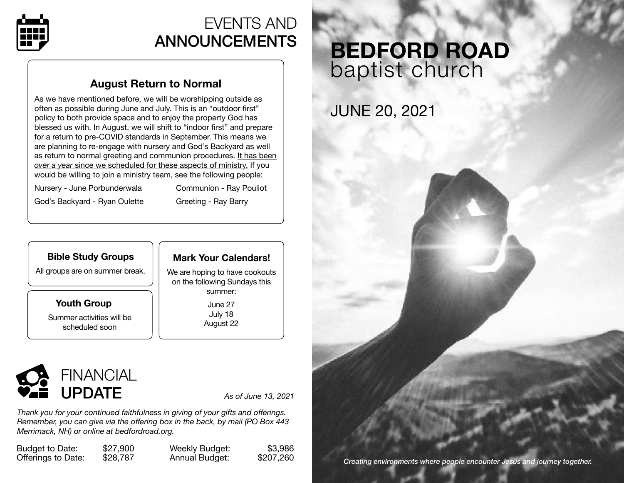

### EVENTS AND ANNOUNCEMENTS

### **August Return to Normal**

As we have mentioned before, we will be worshipping outside as often as possible during June and July. This is an "outdoor first" policy to both provide space and to enjoy the property God has blessed us with. In August, we will shift to "indoor first" and prepare for a return to pre-COVID standards in September. This means we are planning to re-engage with nursery and God's Backyard as well as return to normal greeting and communion procedures. It has been *over a year* since we scheduled for these aspects of ministry. If you would be willing to join a ministry team, see the following people:

Nursery - June Porbunderwala Communion - Ray Pouliot

God's Backyard - Ryan Oulette **Greeting - Ray Barry** 

#### **Bible Study Groups**

All groups are on summer break.

**Youth Group**  Summer activities will be scheduled soon

#### **Mark Your Calendars!**

We are hoping to have cookouts on the following Sundays this summer:

> June 27 July 18 August 22



*Thank you for your continued faithfulness in giving of your gifts and offerings. Remember, you can give via the offering box in the back, by mail (PO Box 443 Merrimack, NH) or online at [bedfordroad.org.](http://bedfordroad.org)*

Budget to Date: \$27,900 Offerings to Date: \$28,787 Weekly Budget: \$3,986 Annual Budget: \$207,260

# **BEDFORD ROAD**  baptist church

## JUNE 20, 2021

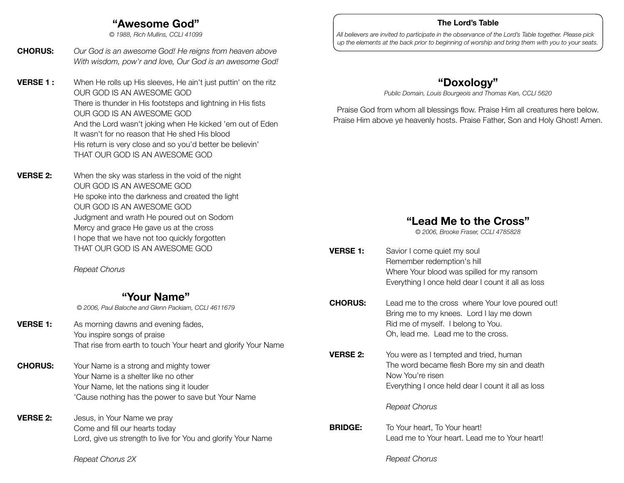#### **"Awesome God"**

*© 1988, Rich Mullins, CCLI 41099*

- **CHORUS:** *Our God is an awesome God! He reigns from heaven above With wisdom, pow'r and love, Our God is an awesome God!*
- **VERSE 1 :** When He rolls up His sleeves, He ain't just puttin' on the ritz OUR GOD IS AN AWESOME GOD There is thunder in His footsteps and lightning in His fists OUR GOD IS AN AWESOME GOD And the Lord wasn't joking when He kicked 'em out of Eden It wasn't for no reason that He shed His blood His return is very close and so you'd better be believin' THAT OUR GOD IS AN AWESOME GOD
- **VERSE 2:** When the sky was starless in the void of the night OUR GOD IS AN AWESOME GOD He spoke into the darkness and created the light OUR GOD IS AN AWESOME GOD Judgment and wrath He poured out on Sodom Mercy and grace He gave us at the cross I hope that we have not too quickly forgotten THAT OUR GOD IS AN AWESOME GOD

 *Repeat Chorus*

#### **"Your Name"**

*© 2006, Paul Baloche and Glenn Packiam, CCLI 4611679*

- **VERSE 1:** As morning dawns and evening fades, You inspire songs of praise That rise from earth to touch Your heart and glorify Your Name
- **CHORUS:** Your Name is a strong and mighty tower Your Name is a shelter like no other Your Name, let the nations sing it louder 'Cause nothing has the power to save but Your Name
- **VERSE 2:** Jesus, in Your Name we pray Come and fill our hearts today Lord, give us strength to live for You and glorify Your Name

 *Repeat Chorus 2X*

#### **The Lord's Table**

*All believers are invited to participate in the observance of the Lord's Table together. Please pick up the elements at the back prior to beginning of worship and bring them with you to your seats.*

#### **"Doxology"**

*Public Domain, Louis Bourgeois and Thomas Ken, CCLI 5620*

Praise God from whom all blessings flow. Praise Him all creatures here below. Praise Him above ye heavenly hosts. Praise Father, Son and Holy Ghost! Amen.

#### **"Lead Me to the Cross"**

*© 2006, Brooke Fraser, CCLI 4785828*

- **VERSE 1:** Savior I come quiet my soul Remember redemption's hill Where Your blood was spilled for my ransom Everything I once held dear I count it all as loss **CHORUS:** Lead me to the cross where Your love poured out! Bring me to my knees. Lord I lay me down Rid me of myself. I belong to You. Oh, lead me. Lead me to the cross. **VERSE 2:** You were as I tempted and tried, human
	- The word became flesh Bore my sin and death Now You're risen Everything I once held dear I count it all as loss

 *Repeat Chorus*

**BRIDGE:** To Your heart, To Your heart! Lead me to Your heart. Lead me to Your heart!

 *Repeat Chorus*